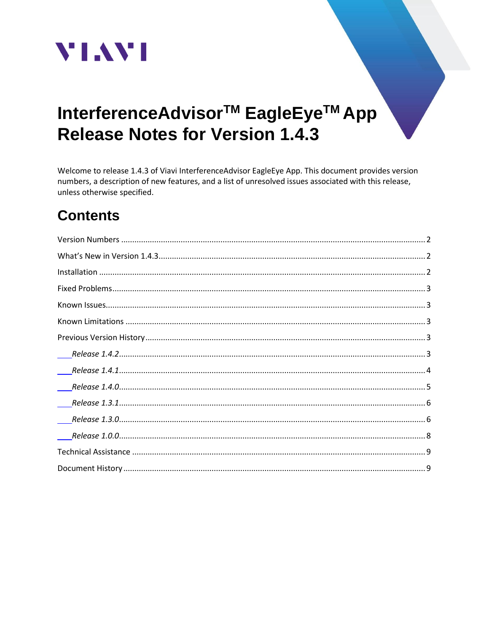

# InterferenceAdvisor<sup>™</sup> EagleEye<sup>™</sup> App **Release Notes for Version 1.4.3**

Welcome to release 1.4.3 of Viavi InterferenceAdvisor EagleEye App. This document provides version numbers, a description of new features, and a list of unresolved issues associated with this release, unless otherwise specified.

## **Contents**

| $\overline{\phantom{a}}$ |
|--------------------------|
|                          |
|                          |
|                          |
|                          |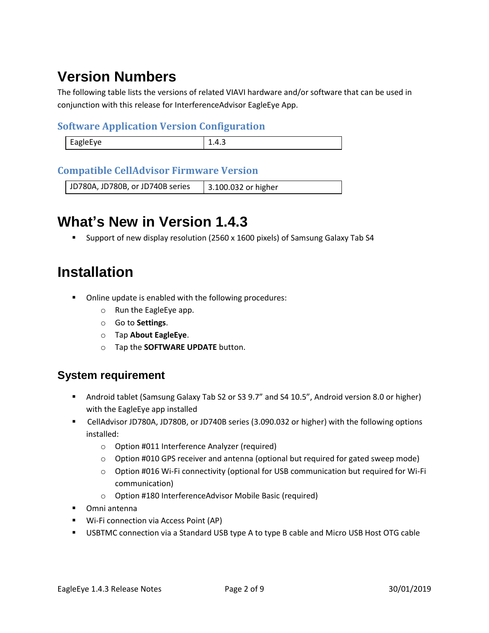## <span id="page-1-0"></span>**Version Numbers**

The following table lists the versions of related VIAVI hardware and/or software that can be used in conjunction with this release for InterferenceAdvisor EagleEye App.

#### **Software Application Version Configuration**

| <b>FagleFve</b><br>⊥.⊤.J<br>$-97 - -$ |  |
|---------------------------------------|--|
|                                       |  |

#### **Compatible CellAdvisor Firmware Version**

<span id="page-1-1"></span>JD780A, JD780B, or JD740B series | 3.100.032 or higher

## **What's New in Version 1.4.3**

■ Support of new display resolution (2560 x 1600 pixels) of Samsung Galaxy Tab S4

## <span id="page-1-2"></span>**Installation**

- Online update is enabled with the following procedures:
	- o Run the EagleEye app.
	- o Go to **Settings**.
	- o Tap **About EagleEye**.
	- o Tap the **SOFTWARE UPDATE** button.

#### **System requirement**

- Android tablet (Samsung Galaxy Tab S2 or S3 9.7" and S4 10.5", Android version 8.0 or higher) with the EagleEye app installed
- CellAdvisor JD780A, JD780B, or JD740B series (3.090.032 or higher) with the following options installed:
	- o Option #011 Interference Analyzer (required)
	- $\circ$  Option #010 GPS receiver and antenna (optional but required for gated sweep mode)
	- o Option #016 Wi-Fi connectivity (optional for USB communication but required for Wi-Fi communication)
	- o Option #180 InterferenceAdvisor Mobile Basic (required)
- Omni antenna
- Wi-Fi connection via Access Point (AP)
- USBTMC connection via a Standard USB type A to type B cable and Micro USB Host OTG cable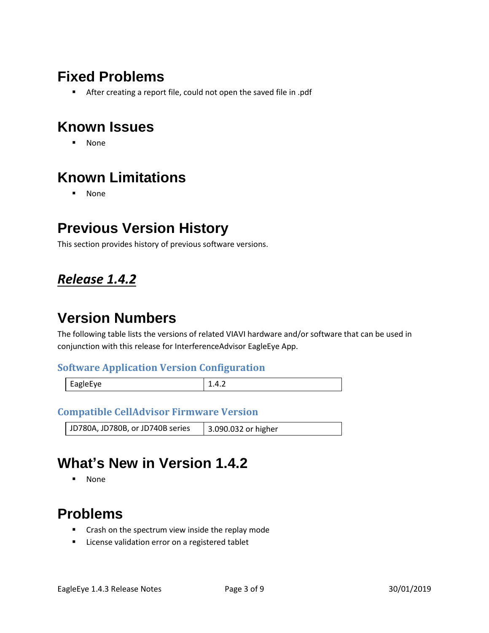## <span id="page-2-0"></span>**Fixed Problems**

**EXEL After creating a report file, could not open the saved file in .pdf** 

## <span id="page-2-1"></span>**Known Issues**

▪ None

## <span id="page-2-2"></span>**Known Limitations**

▪ None

### <span id="page-2-3"></span>**Previous Version History**

This section provides history of previous software versions.

### <span id="page-2-4"></span>*Release 1.4.2*

## **Version Numbers**

The following table lists the versions of related VIAVI hardware and/or software that can be used in conjunction with this release for InterferenceAdvisor EagleEye App.

#### **Software Application Version Configuration**

| EagleEye | .<br>$\cdot$ $\cdot$ $\cdot$ $\cdot$ |
|----------|--------------------------------------|
|          |                                      |

#### **Compatible CellAdvisor Firmware Version**

JD780A, JD780B, or JD740B series | 3.090.032 or higher

## **What's New in Version 1.4.2**

▪ None

### **Problems**

- Crash on the spectrum view inside the replay mode
- License validation error on a registered tablet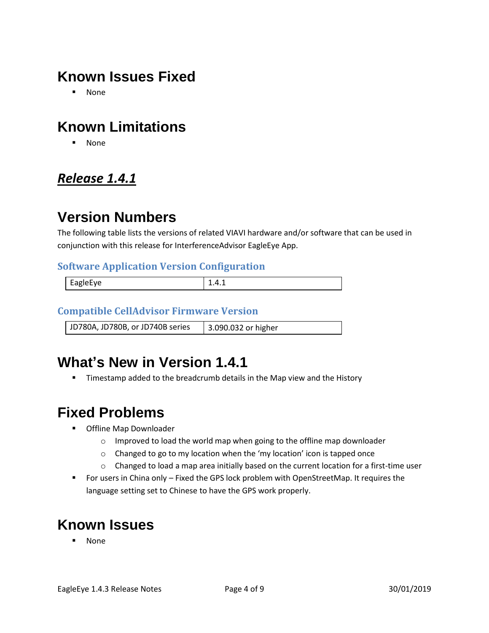## **Known Issues Fixed**

▪ None

## **Known Limitations**

▪ None

### <span id="page-3-0"></span>*Release 1.4.1*

## **Version Numbers**

The following table lists the versions of related VIAVI hardware and/or software that can be used in conjunction with this release for InterferenceAdvisor EagleEye App.

#### **Software Application Version Configuration**

| $\overline{ }$<br>.<br>н.<br><b>AUIPFVE</b><br>-- | ---- |
|---------------------------------------------------|------|
|                                                   |      |

#### **Compatible CellAdvisor Firmware Version**

JD780A, JD780B, or JD740B series 3.090.032 or higher

## **What's New in Version 1.4.1**

**■** Timestamp added to the breadcrumb details in the Map view and the History

## **Fixed Problems**

- Offline Map Downloader
	- o Improved to load the world map when going to the offline map downloader
	- o Changed to go to my location when the 'my location' icon is tapped once
	- $\circ$  Changed to load a map area initially based on the current location for a first-time user
- For users in China only Fixed the GPS lock problem with OpenStreetMap. It requires the language setting set to Chinese to have the GPS work properly.

## **Known Issues**

**None**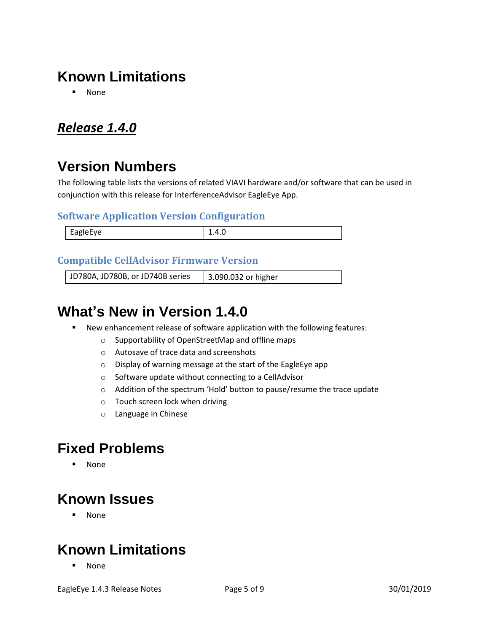## **Known Limitations**

▪ None

### <span id="page-4-0"></span>*Release 1.4.0*

## **Version Numbers**

The following table lists the versions of related VIAVI hardware and/or software that can be used in conjunction with this release for InterferenceAdvisor EagleEye App.

#### **Software Application Version Configuration**

| <b>FagleFve</b><br>$\sim$<br>$\sim$ $\sim$ | $\cdots$<br>______ |
|--------------------------------------------|--------------------|

#### **Compatible CellAdvisor Firmware Version**

JD780A, JD780B, or JD740B series | 3.090.032 or higher

### **What's New in Version 1.4.0**

- New enhancement release of software application with the following features:
	- o Supportability of OpenStreetMap and offline maps
	- o Autosave of trace data and screenshots
	- o Display of warning message at the start of the EagleEye app
	- o Software update without connecting to a CellAdvisor
	- o Addition of the spectrum 'Hold' button to pause/resume the trace update
	- o Touch screen lock when driving
	- o Language in Chinese

### **Fixed Problems**

▪ None

### **Known Issues**

▪ None

## **Known Limitations**

▪ None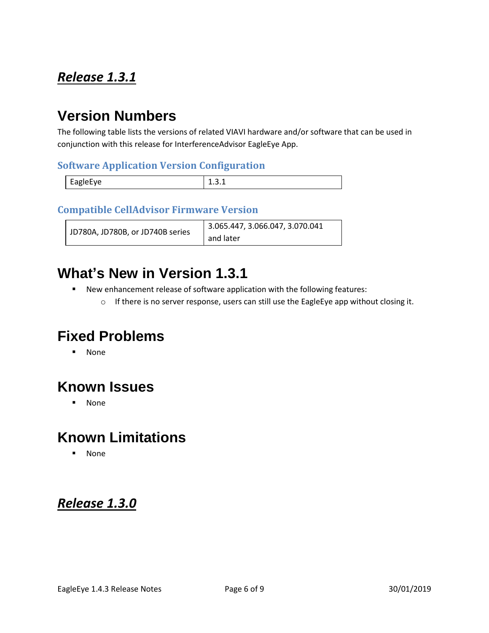### <span id="page-5-0"></span>*Release 1.3.1*

### **Version Numbers**

The following table lists the versions of related VIAVI hardware and/or software that can be used in conjunction with this release for InterferenceAdvisor EagleEye App.

#### **Software Application Version Configuration**

|          | - |
|----------|---|
| EagleEye |   |

#### **Compatible CellAdvisor Firmware Version**

| JD780A, JD780B, or JD740B series | 3.065.447, 3.066.047, 3.070.041 |
|----------------------------------|---------------------------------|
|                                  | and later                       |

### **What's New in Version 1.3.1**

- New enhancement release of software application with the following features:
	- o If there is no server response, users can still use the EagleEye app without closing it.

## **Fixed Problems**

▪ None

## **Known Issues**

▪ None

## **Known Limitations**

▪ None

#### <span id="page-5-1"></span>*Release 1.3.0*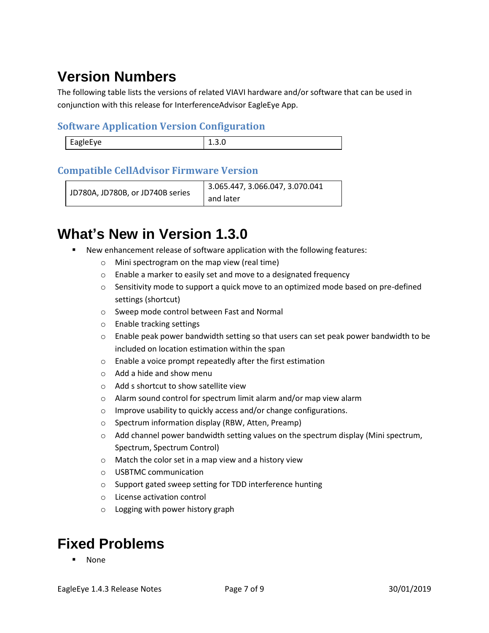## **Version Numbers**

The following table lists the versions of related VIAVI hardware and/or software that can be used in conjunction with this release for InterferenceAdvisor EagleEye App.

#### **Software Application Version Configuration**

| <b>FagleFve</b><br><br>. |  |
|--------------------------|--|
|                          |  |

#### **Compatible CellAdvisor Firmware Version**

```
JD780A, JD780B, or JD740B series
                         3.065.447, 3.066.047, 3.070.041 
                         and later
```
## **What's New in Version 1.3.0**

- New enhancement release of software application with the following features:
	- o Mini spectrogram on the map view (real time)
	- o Enable a marker to easily set and move to a designated frequency
	- $\circ$  Sensitivity mode to support a quick move to an optimized mode based on pre-defined settings (shortcut)
	- o Sweep mode control between Fast and Normal
	- o Enable tracking settings
	- $\circ$  Enable peak power bandwidth setting so that users can set peak power bandwidth to be included on location estimation within the span
	- o Enable a voice prompt repeatedly after the first estimation
	- o Add a hide and show menu
	- o Add s shortcut to show satellite view
	- o Alarm sound control for spectrum limit alarm and/or map view alarm
	- o Improve usability to quickly access and/or change configurations.
	- o Spectrum information display (RBW, Atten, Preamp)
	- $\circ$  Add channel power bandwidth setting values on the spectrum display (Mini spectrum, Spectrum, Spectrum Control)
	- o Match the color set in a map view and a history view
	- o USBTMC communication
	- o Support gated sweep setting for TDD interference hunting
	- o License activation control
	- o Logging with power history graph

## **Fixed Problems**

**None**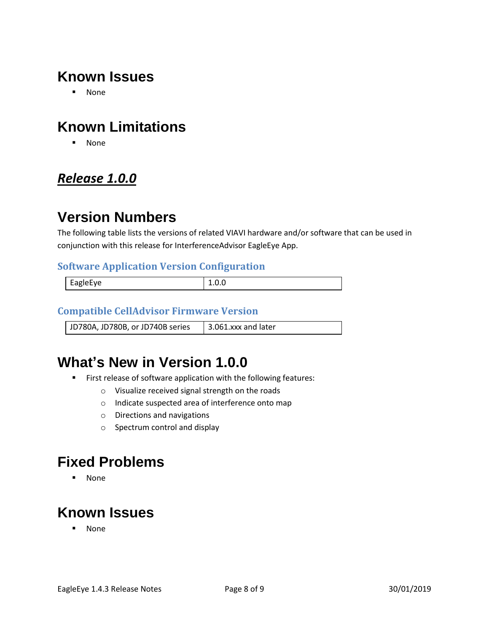## **Known Issues**

▪ None

## **Known Limitations**

▪ None

### <span id="page-7-0"></span>*Release 1.0.0*

### **Version Numbers**

The following table lists the versions of related VIAVI hardware and/or software that can be used in conjunction with this release for InterferenceAdvisor EagleEye App.

#### **Software Application Version Configuration**

| EagleEye | -.v.v |
|----------|-------|
|          |       |

#### **Compatible CellAdvisor Firmware Version**

JD780A, JD780B, or JD740B series  $\parallel$  3.061.xxx and later

## **What's New in Version 1.0.0**

- **EXECT:** First release of software application with the following features:
	- o Visualize received signal strength on the roads
	- o Indicate suspected area of interference onto map
	- o Directions and navigations
	- o Spectrum control and display

### **Fixed Problems**

▪ None

## **Known Issues**

▪ None